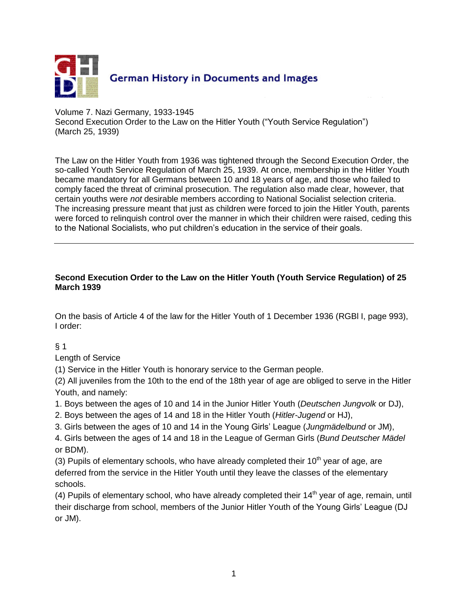

#### Volume 7. Nazi Germany, 1933-1945

Second Execution Order to the Law on the Hitler Youth ("Youth Service Regulation") (March 25, 1939)

The Law on the Hitler Youth from 1936 was tightened through the Second Execution Order, the so-called Youth Service Regulation of March 25, 1939. At once, membership in the Hitler Youth became mandatory for all Germans between 10 and 18 years of age, and those who failed to comply faced the threat of criminal prosecution. The regulation also made clear, however, that certain youths were *not* desirable members according to National Socialist selection criteria. The increasing pressure meant that just as children were forced to join the Hitler Youth, parents were forced to relinquish control over the manner in which their children were raised, ceding this to the National Socialists, who put children's education in the service of their goals.

#### **Second Execution Order to the Law on the Hitler Youth (Youth Service Regulation) of 25 March 1939**

On the basis of Article 4 of the law for the Hitler Youth of 1 December 1936 (RGBl I, page 993), I order:

#### $§$  1

Length of Service

(1) Service in the Hitler Youth is honorary service to the German people.

(2) All juveniles from the 10th to the end of the 18th year of age are obliged to serve in the Hitler Youth, and namely:

1. Boys between the ages of 10 and 14 in the Junior Hitler Youth (*Deutschen Jungvolk* or DJ),

2. Boys between the ages of 14 and 18 in the Hitler Youth (*Hitler-Jugend* or HJ),

3. Girls between the ages of 10 and 14 in the Young Girls' League (*Jungmädelbund* or JM),

4. Girls between the ages of 14 and 18 in the League of German Girls (*Bund Deutscher Mädel* or BDM).

(3) Pupils of elementary schools, who have already completed their  $10<sup>th</sup>$  year of age, are deferred from the service in the Hitler Youth until they leave the classes of the elementary schools.

(4) Pupils of elementary school, who have already completed their  $14<sup>th</sup>$  year of age, remain, until their discharge from school, members of the Junior Hitler Youth of the Young Girls' League (DJ or JM).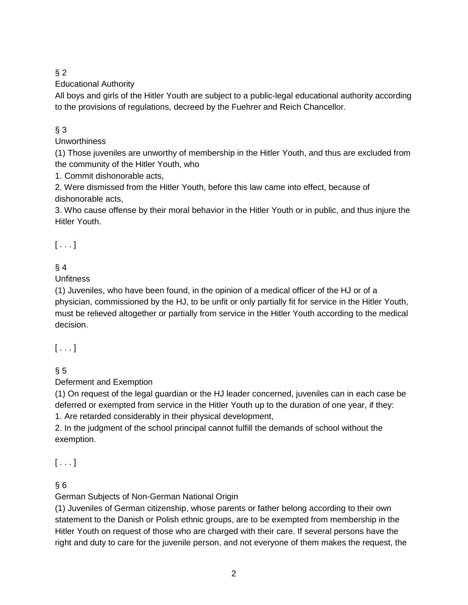## $§ 2$

Educational Authority

All boys and girls of the Hitler Youth are subject to a public-legal educational authority according to the provisions of regulations, decreed by the Fuehrer and Reich Chancellor.

## § 3

**Unworthiness** 

(1) Those juveniles are unworthy of membership in the Hitler Youth, and thus are excluded from the community of the Hitler Youth, who

1. Commit dishonorable acts,

2. Were dismissed from the Hitler Youth, before this law came into effect, because of dishonorable acts,

3. Who cause offense by their moral behavior in the Hitler Youth or in public, and thus injure the Hitler Youth.

 $[ \ldots ]$ 

# $§$  4

## **Unfitness**

(1) Juveniles, who have been found, in the opinion of a medical officer of the HJ or of a physician, commissioned by the HJ, to be unfit or only partially fit for service in the Hitler Youth, must be relieved altogether or partially from service in the Hitler Youth according to the medical decision.

## $[\ldots]$

## $§ 5$

Deferment and Exemption

(1) On request of the legal guardian or the HJ leader concerned, juveniles can in each case be deferred or exempted from service in the Hitler Youth up to the duration of one year, if they: 1. Are retarded considerably in their physical development,

2. In the judgment of the school principal cannot fulfill the demands of school without the exemption.

 $[\ldots]$ 

## $§ 6$

German Subjects of Non-German National Origin

(1) Juveniles of German citizenship, whose parents or father belong according to their own statement to the Danish or Polish ethnic groups, are to be exempted from membership in the Hitler Youth on request of those who are charged with their care. If several persons have the right and duty to care for the juvenile person, and not everyone of them makes the request, the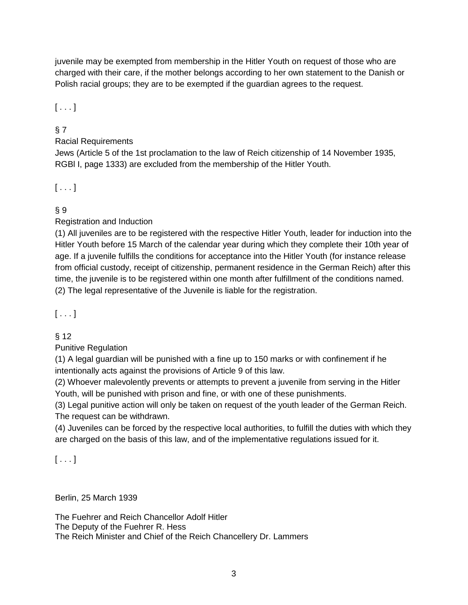juvenile may be exempted from membership in the Hitler Youth on request of those who are charged with their care, if the mother belongs according to her own statement to the Danish or Polish racial groups; they are to be exempted if the guardian agrees to the request.

 $[\ldots]$ 

## § 7

## Racial Requirements

Jews (Article 5 of the 1st proclamation to the law of Reich citizenship of 14 November 1935, RGBl I, page 1333) are excluded from the membership of the Hitler Youth.

## $[ . . . ]$

## § 9

## Registration and Induction

(1) All juveniles are to be registered with the respective Hitler Youth, leader for induction into the Hitler Youth before 15 March of the calendar year during which they complete their 10th year of age. If a juvenile fulfills the conditions for acceptance into the Hitler Youth (for instance release from official custody, receipt of citizenship, permanent residence in the German Reich) after this time, the juvenile is to be registered within one month after fulfillment of the conditions named. (2) The legal representative of the Juvenile is liable for the registration.

## $[ \ldots ]$

## § 12

Punitive Regulation

(1) A legal guardian will be punished with a fine up to 150 marks or with confinement if he intentionally acts against the provisions of Article 9 of this law.

(2) Whoever malevolently prevents or attempts to prevent a juvenile from serving in the Hitler Youth, will be punished with prison and fine, or with one of these punishments.

(3) Legal punitive action will only be taken on request of the youth leader of the German Reich. The request can be withdrawn.

(4) Juveniles can be forced by the respective local authorities, to fulfill the duties with which they are charged on the basis of this law, and of the implementative regulations issued for it.

## $[ \ldots ]$

Berlin, 25 March 1939

The Fuehrer and Reich Chancellor Adolf Hitler The Deputy of the Fuehrer R. Hess The Reich Minister and Chief of the Reich Chancellery Dr. Lammers